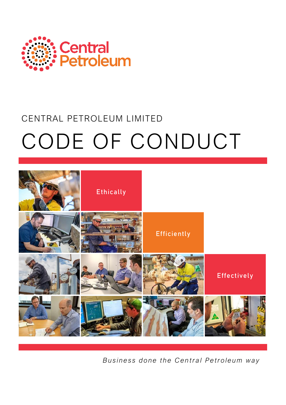

# CENTRAL PETROLEUM LIMITED CODE OF CONDUCT



*Business done the Central Petroleum way*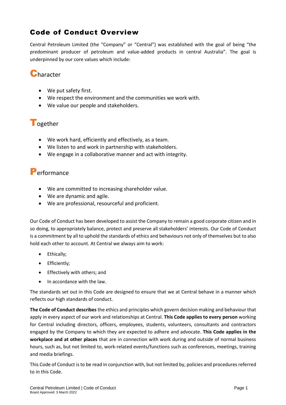## Code of Conduct Overview

Central Petroleum Limited (the "Company" or "Central") was established with the goal of being "the predominant producer of petroleum and value-added products in central Australia". The goal is underpinned by our core values which include:

## **Character**

- We put safety first.
- We respect the environment and the communities we work with.
- We value our people and stakeholders.

## **T**ogether

- We work hard, efficiently and effectively, as a team.
- We listen to and work in partnership with stakeholders.
- We engage in a collaborative manner and act with integrity.

## Performance

- We are committed to increasing shareholder value.
- We are dynamic and agile.
- We are professional, resourceful and proficient.

Our Code of Conduct has been developed to assist the Company to remain a good corporate citizen and in so doing, to appropriately balance, protect and preserve all stakeholders' interests. Our Code of Conduct is a commitment by all to uphold the standards of ethics and behaviours not only of themselves but to also hold each other to account. At Central we always aim to work:

- Ethically;
- Efficiently;
- Effectively with others; and
- In accordance with the law.

The standards set out in this Code are designed to ensure that we at Central behave in a manner which reflects our high standards of conduct.

**The Code of Conduct describes** the ethics and principles which govern decision making and behaviour that apply in every aspect of our work and relationships at Central. **This Code applies to every person** working for Central including directors, officers, employees, students, volunteers, consultants and contractors engaged by the Company to which they are expected to adhere and advocate. **This Code applies in the workplace and at other places** that are in connection with work during and outside of normal business hours, such as, but not limited to, work-related events/functions such as conferences, meetings, training and media briefings.

This Code of Conduct isto be read in conjunction with, but not limited by, policies and procedures referred to in this Code.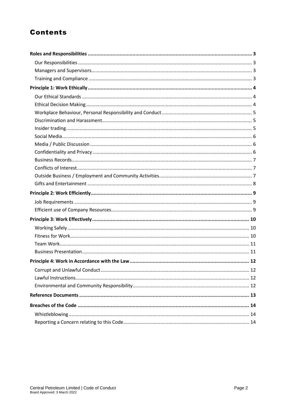# **Contents**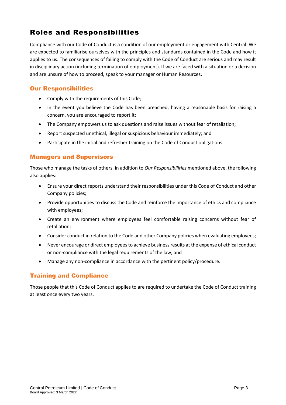# <span id="page-3-0"></span>Roles and Responsibilities

Compliance with our Code of Conduct is a condition of our employment or engagement with Central. We are expected to familiarise ourselves with the principles and standards contained in the Code and how it applies to us. The consequences of failing to comply with the Code of Conduct are serious and may result in disciplinary action (including termination of employment). If we are faced with a situation or a decision and are unsure of how to proceed, speak to your manager or Human Resources.

#### <span id="page-3-1"></span>Our Responsibilities

- Comply with the requirements of this Code;
- In the event you believe the Code has been breached, having a reasonable basis for raising a concern, you are encouraged to report it;
- The Company empowers us to ask questions and raise issues without fear of retaliation;
- Report suspected unethical, illegal or suspicious behaviour immediately; and
- Participate in the initial and refresher training on the Code of Conduct obligations.

#### <span id="page-3-2"></span>Managers and Supervisors

Those who manage the tasks of others, in addition to *Our Responsibilities* mentioned above, the following also applies:

- Ensure your direct reports understand their responsibilities under this Code of Conduct and other Company policies;
- Provide opportunities to discuss the Code and reinforce the importance of ethics and compliance with employees;
- Create an environment where employees feel comfortable raising concerns without fear of retaliation;
- Consider conduct in relation to the Code and other Company policies when evaluating employees;
- Never encourage or direct employees to achieve business results at the expense of ethical conduct or non-compliance with the legal requirements of the law; and
- Manage any non-compliance in accordance with the pertinent policy/procedure.

#### <span id="page-3-3"></span>Training and Compliance

Those people that this Code of Conduct applies to are required to undertake the Code of Conduct training at least once every two years.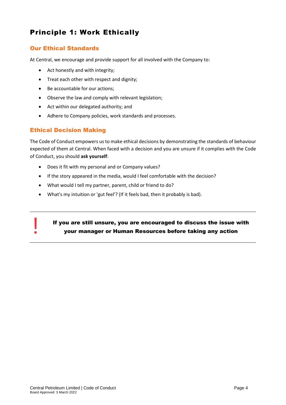# <span id="page-4-0"></span>Principle 1: Work Ethically

#### <span id="page-4-1"></span>Our Ethical Standards

At Central, we encourage and provide support for all involved with the Company to:

- Act honestly and with integrity;
- Treat each other with respect and dignity;
- Be accountable for our actions;
- Observe the law and comply with relevant legislation;
- Act within our delegated authority; and
- Adhere to Company policies, work standards and processes.

#### <span id="page-4-2"></span>Ethical Decision Making

!<br>!

The Code of Conduct empowers usto make ethical decisions by demonstrating the standards of behaviour expected of them at Central. When faced with a decision and you are unsure if it complies with the Code of Conduct, you should **ask yourself**:

- Does it fit with my personal and or Company values?
- If the story appeared in the media, would I feel comfortable with the decision?
- What would I tell my partner, parent, child or friend to do?
- What's my intuition or 'gut feel'? (If it feels bad, then it probably is bad).

#### If you are still unsure, you are encouraged to discuss the issue with your manager or Human Resources before taking any action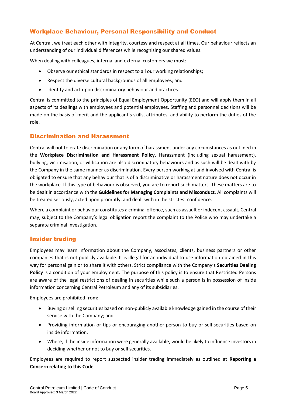#### <span id="page-5-0"></span>Workplace Behaviour, Personal Responsibility and Conduct

At Central, we treat each other with integrity, courtesy and respect at all times. Our behaviour reflects an understanding of our individual differences while recognising our shared values.

When dealing with colleagues, internal and external customers we must:

- Observe our ethical standards in respect to all our working relationships;
- Respect the diverse cultural backgrounds of all employees; and
- Identify and act upon discriminatory behaviour and practices.

Central is committed to the principles of Equal Employment Opportunity (EEO) and will apply them in all aspects of its dealings with employees and potential employees. Staffing and personnel decisions will be made on the basis of merit and the applicant's skills, attributes, and ability to perform the duties of the role.

#### <span id="page-5-1"></span>Discrimination and Harassment

Central will not tolerate discrimination or any form of harassment under any circumstances as outlined in the **Workplace Discrimination and Harassment Policy**. Harassment (including sexual harassment), bullying, victimisation, or vilification are also discriminatory behaviours and as such will be dealt with by the Company in the same manner as discrimination. Every person working at and involved with Central is obligated to ensure that any behaviour that is of a discriminative or harassment nature does not occur in the workplace. If this type of behaviour is observed, you are to report such matters. These matters are to be dealt in accordance with the **Guidelines for Managing Complaints and Misconduct**. All complaints will be treated seriously, acted upon promptly, and dealt with in the strictest confidence.

Where a complaint or behaviour constitutes a criminal offence, such as assault or indecent assault, Central may, subject to the Company's legal obligation report the complaint to the Police who may undertake a separate criminal investigation.

#### <span id="page-5-2"></span>Insider trading

Employees may learn information about the Company, associates, clients, business partners or other companies that is not publicly available. It is illegal for an individual to use information obtained in this way for personal gain or to share it with others. Strict compliance with the Company's **Securities Dealing Policy** is a condition of your employment. The purpose of this policy is to ensure that Restricted Persons are aware of the legal restrictions of dealing in securities while such a person is in possession of inside information concerning Central Petroleum and any of its subsidiaries.

Employees are prohibited from:

- Buying or selling securities based on non-publicly available knowledge gained in the course of their service with the Company; and
- Providing information or tips or encouraging another person to buy or sell securities based on inside information.
- Where, if the inside information were generally available, would be likely to influence investors in deciding whether or not to buy or sell securities.

Employees are required to report suspected insider trading immediately as outlined at **Reporting a Concern relating to this Code**.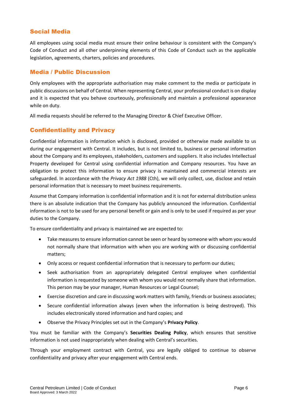#### <span id="page-6-0"></span>Social Media

All employees using social media must ensure their online behaviour is consistent with the Company's Code of Conduct and all other underpinning elements of this Code of Conduct such as the applicable legislation, agreements, charters, policies and procedures.

#### <span id="page-6-1"></span>Media / Public Discussion

Only employees with the appropriate authorisation may make comment to the media or participate in public discussions on behalf of Central. When representing Central, your professional conduct is on display and it is expected that you behave courteously, professionally and maintain a professional appearance while on duty.

All media requests should be referred to the Managing Director & Chief Executive Officer.

#### <span id="page-6-2"></span>Confidentiality and Privacy

Confidential information is information which is disclosed, provided or otherwise made available to us during our engagement with Central. It includes, but is not limited to, business or personal information about the Company and its employees, stakeholders, customers and suppliers. It also includes Intellectual Property developed for Central using confidential information and Company resources. You have an obligation to protect this information to ensure privacy is maintained and commercial interests are safeguarded. In accordance with the *Privacy Act 1988* (Cth), we will only collect, use, disclose and retain personal information that is necessary to meet business requirements.

Assume that Company information is confidential information and it is not for external distribution unless there is an absolute indication that the Company has publicly announced the information. Confidential information is not to be used for any personal benefit or gain and is only to be used if required as per your duties to the Company.

To ensure confidentiality and privacy is maintained we are expected to:

- Take measures to ensure information cannot be seen or heard by someone with whom you would not normally share that information with when you are working with or discussing confidential matters;
- Only access or request confidential information that is necessary to perform our duties;
- Seek authorisation from an appropriately delegated Central employee when confidential information is requested by someone with whom you would not normally share that information. This person may be your manager, Human Resources or Legal Counsel;
- Exercise discretion and care in discussing work matters with family, friends or business associates;
- Secure confidential information always (even when the information is being destroyed). This includes electronically stored information and hard copies; and
- Observe the Privacy Principles set out in the Company's **Privacy Policy**.

You must be familiar with the Company's **Securities Dealing Policy**, which ensures that sensitive information is not used inappropriately when dealing with Central's securities.

Through your employment contract with Central, you are legally obliged to continue to observe confidentiality and privacy after your engagement with Central ends.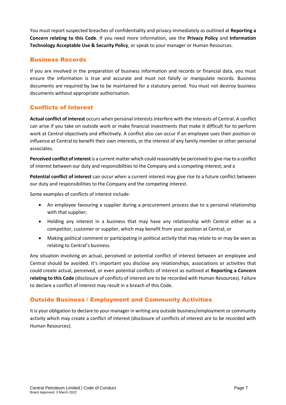You must report suspected breaches of confidentiality and privacy immediately as outlined at **Reporting a Concern relating to this Code**. If you need more information, see the **Privacy Policy** and **Information Technology Acceptable Use & Security Policy**, or speak to your manager or Human Resources.

#### <span id="page-7-0"></span>Business Records

If you are involved in the preparation of business information and records or financial data, you must ensure the information is true and accurate and must not falsify or manipulate records. Business documents are required by law to be maintained for a statutory period. You must not destroy business documents without appropriate authorisation.

#### <span id="page-7-1"></span>Conflicts of Interest

**Actual conflict of interest** occurs when personal interests interfere with the interests of Central. A conflict can arise if you take on outside work or make financial investments that make it difficult for to perform work at Central objectively and effectively. A conflict also can occur if an employee uses their position or influence at Central to benefit their own interests, or the interest of any family member or other personal associates.

**Perceived conflict of interest**is a current matter which could reasonably be perceived to give rise to a conflict of interest between our duty and responsibilities to the Company and a competing interest; and a

**Potential conflict of interest** can occur when a current interest may give rise to a future conflict between our duty and responsibilities to the Company and the competing interest.

Some examples of conflicts of interest include:

- An employee favouring a supplier during a procurement process due to a personal relationship with that supplier;
- Holding any interest in a business that may have any relationship with Central either as a competitor, customer or supplier, which may benefit from your position at Central; or
- Making political comment or participating in political activity that may relate to or may be seen as relating to Central's business.

Any situation involving an actual, perceived or potential conflict of interest between an employee and Central should be avoided. It's important you disclose any relationships, associations or activities that could create actual, perceived, or even potential conflicts of interest as outlined at **Reporting a Concern relating to this Code** (disclosure of conflicts of interest are to be recorded with Human Resources). Failure to declare a conflict of interest may result in a breach of this Code.

#### <span id="page-7-2"></span>Outside Business / Employment and Community Activities

It is your obligation to declare to your manager in writing any outside business/employment or community activity which may create a conflict of interest (disclosure of conflicts of interest are to be recorded with Human Resources).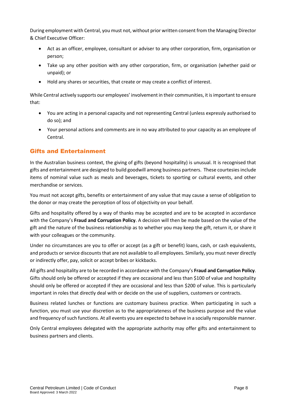During employment with Central, you must not, without prior written consent from the Managing Director & Chief Executive Officer:

- Act as an officer, employee, consultant or adviser to any other corporation, firm, organisation or person;
- Take up any other position with any other corporation, firm, or organisation (whether paid or unpaid); or
- Hold any shares or securities, that create or may create a conflict of interest.

While Central actively supports our employees' involvement in their communities, it is important to ensure that:

- You are acting in a personal capacity and not representing Central (unless expressly authorised to do so); and
- Your personal actions and comments are in no way attributed to your capacity as an employee of Central.

#### <span id="page-8-0"></span>Gifts and Entertainment

In the Australian business context, the giving of gifts (beyond hospitality) is unusual. It is recognised that gifts and entertainment are designed to build goodwill among business partners. These courtesies include items of nominal value such as meals and beverages, tickets to sporting or cultural events, and other merchandise or services.

You must not accept gifts, benefits or entertainment of any value that may cause a sense of obligation to the donor or may create the perception of loss of objectivity on your behalf.

Gifts and hospitality offered by a way of thanks may be accepted and are to be accepted in accordance with the Company's **Fraud and Corruption Policy**. A decision will then be made based on the value of the gift and the nature of the business relationship as to whether you may keep the gift, return it, or share it with your colleagues or the community.

Under no circumstances are you to offer or accept (as a gift or benefit) loans, cash, or cash equivalents, and products or service discounts that are not available to all employees. Similarly, you must never directly or indirectly offer, pay, solicit or accept bribes or kickbacks.

All gifts and hospitality are to be recorded in accordance with the Company's **Fraud and Corruption Policy**. Gifts should only be offered or accepted if they are occasional and less than \$100 of value and hospitality should only be offered or accepted if they are occasional and less than \$200 of value. This is particularly important in roles that directly deal with or decide on the use of suppliers, customers or contracts.

Business related lunches or functions are customary business practice. When participating in such a function, you must use your discretion as to the appropriateness of the business purpose and the value and frequency of such functions. At all events you are expected to behave in a socially responsible manner.

Only Central employees delegated with the appropriate authority may offer gifts and entertainment to business partners and clients.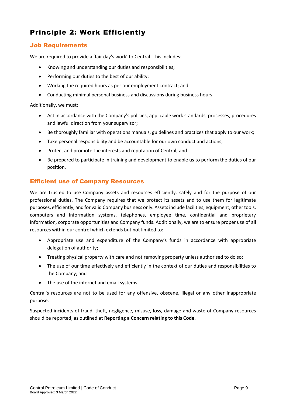# <span id="page-9-0"></span>Principle 2: Work Efficiently

#### <span id="page-9-1"></span>Job Requirements

We are required to provide a 'fair day's work' to Central. This includes:

- Knowing and understanding our duties and responsibilities;
- Performing our duties to the best of our ability;
- Working the required hours as per our employment contract; and
- Conducting minimal personal business and discussions during business hours.

Additionally, we must:

- Act in accordance with the Company's policies, applicable work standards, processes, procedures and lawful direction from your supervisor;
- Be thoroughly familiar with operations manuals, guidelines and practices that apply to our work;
- Take personal responsibility and be accountable for our own conduct and actions;
- Protect and promote the interests and reputation of Central; and
- Be prepared to participate in training and development to enable us to perform the duties of our position.

#### <span id="page-9-2"></span>Efficient use of Company Resources

We are trusted to use Company assets and resources efficiently, safely and for the purpose of our professional duties. The Company requires that we protect its assets and to use them for legitimate purposes, efficiently, and for valid Company business only. Assets include facilities, equipment, other tools, computers and information systems, telephones, employee time, confidential and proprietary information, corporate opportunities and Company funds. Additionally, we are to ensure proper use of all resources within our control which extends but not limited to:

- Appropriate use and expenditure of the Company's funds in accordance with appropriate delegation of authority;
- Treating physical property with care and not removing property unless authorised to do so;
- The use of our time effectively and efficiently in the context of our duties and responsibilities to the Company; and
- The use of the internet and email systems.

Central's resources are not to be used for any offensive, obscene, illegal or any other inappropriate purpose.

Suspected incidents of fraud, theft, negligence, misuse, loss, damage and waste of Company resources should be reported, as outlined at **Reporting a Concern relating to this Code**.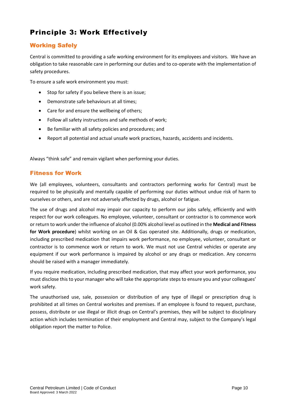# <span id="page-10-0"></span>Principle 3: Work Effectively

#### <span id="page-10-1"></span>Working Safely

Central is committed to providing a safe working environment for its employees and visitors. We have an obligation to take reasonable care in performing our duties and to co-operate with the implementation of safety procedures.

To ensure a safe work environment you must:

- Stop for safety if you believe there is an issue;
- Demonstrate safe behaviours at all times;
- Care for and ensure the wellbeing of others;
- Follow all safety instructions and safe methods of work;
- Be familiar with all safety policies and procedures; and
- Report all potential and actual unsafe work practices, hazards, accidents and incidents.

Always "think safe" and remain vigilant when performing your duties.

#### <span id="page-10-2"></span>Fitness for Work

We (all employees, volunteers, consultants and contractors performing works for Central) must be required to be physically and mentally capable of performing our duties without undue risk of harm to ourselves or others, and are not adversely affected by drugs, alcohol or fatigue.

The use of drugs and alcohol may impair our capacity to perform our jobs safely, efficiently and with respect for our work colleagues. No employee, volunteer, consultant or contractor is to commence work or return to work under the influence of alcohol (0.00% alcohol level as outlined in the **Medical and Fitness for Work procedure**) whilst working on an Oil & Gas operated site. Additionally, drugs or medication, including prescribed medication that impairs work performance, no employee, volunteer, consultant or contractor is to commence work or return to work. We must not use Central vehicles or operate any equipment if our work performance is impaired by alcohol or any drugs or medication. Any concerns should be raised with a manager immediately.

If you require medication, including prescribed medication, that may affect your work performance, you must disclose this to your manager who will take the appropriate steps to ensure you and your colleagues' work safety.

The unauthorised use, sale, possession or distribution of any type of illegal or prescription drug is prohibited at all times on Central worksites and premises. If an employee is found to request, purchase, possess, distribute or use illegal or illicit drugs on Central's premises, they will be subject to disciplinary action which includes termination of their employment and Central may, subject to the Company's legal obligation report the matter to Police.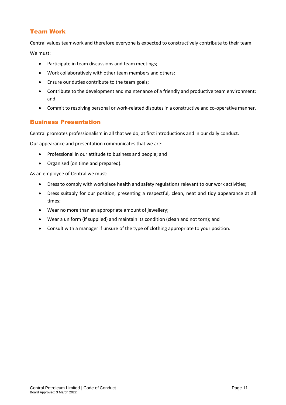#### <span id="page-11-0"></span>Team Work

Central values teamwork and therefore everyone is expected to constructively contribute to their team.

We must:

- Participate in team discussions and team meetings;
- Work collaboratively with other team members and others;
- Ensure our duties contribute to the team goals;
- Contribute to the development and maintenance of a friendly and productive team environment; and
- Commit to resolving personal or work-related disputes in a constructive and co-operative manner.

#### <span id="page-11-1"></span>Business Presentation

Central promotes professionalism in all that we do; at first introductions and in our daily conduct.

Our appearance and presentation communicates that we are:

- Professional in our attitude to business and people; and
- Organised (on time and prepared).

As an employee of Central we must:

- Dress to comply with workplace health and safety regulations relevant to our work activities;
- Dress suitably for our position, presenting a respectful, clean, neat and tidy appearance at all times;
- Wear no more than an appropriate amount of jewellery;
- Wear a uniform (if supplied) and maintain its condition (clean and not torn); and
- Consult with a manager if unsure of the type of clothing appropriate to your position.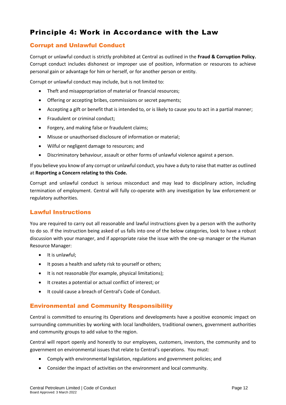## <span id="page-12-0"></span>Principle 4: Work in Accordance with the Law

#### <span id="page-12-1"></span>Corrupt and Unlawful Conduct

Corrupt or unlawful conduct is strictly prohibited at Central as outlined in the **Fraud & Corruption Policy.** Corrupt conduct includes dishonest or improper use of position, information or resources to achieve personal gain or advantage for him or herself, or for another person or entity.

Corrupt or unlawful conduct may include, but is not limited to:

- Theft and misappropriation of material or financial resources;
- Offering or accepting bribes, commissions or secret payments;
- Accepting a gift or benefit that is intended to, or is likely to cause you to act in a partial manner;
- Fraudulent or criminal conduct;
- Forgery, and making false or fraudulent claims;
- Misuse or unauthorised disclosure of information or material;
- Wilful or negligent damage to resources; and
- Discriminatory behaviour, assault or other forms of unlawful violence against a person.

If you believe you know of any corrupt or unlawful conduct, you have a duty to raise that matter as outlined at **Reporting a Concern relating to this Code.**

Corrupt and unlawful conduct is serious misconduct and may lead to disciplinary action, including termination of employment. Central will fully co-operate with any investigation by law enforcement or regulatory authorities.

#### <span id="page-12-2"></span>Lawful Instructions

You are required to carry out all reasonable and lawful instructions given by a person with the authority to do so. If the instruction being asked of us falls into one of the below categories, look to have a robust discussion with your manager, and if appropriate raise the issue with the one-up manager or the Human Resource Manager:

- It is unlawful;
- It poses a health and safety risk to yourself or others;
- It is not reasonable (for example, physical limitations);
- It creates a potential or actual conflict of interest; or
- It could cause a breach of Central's Code of Conduct.

#### <span id="page-12-3"></span>Environmental and Community Responsibility

Central is committed to ensuring its Operations and developments have a positive economic impact on surrounding communities by working with local landholders, traditional owners, government authorities and community groups to add value to the region.

Central will report openly and honestly to our employees, customers, investors, the community and to government on environmental issues that relate to Central's operations. You must:

- Comply with environmental legislation, regulations and government policies; and
- Consider the impact of activities on the environment and local community.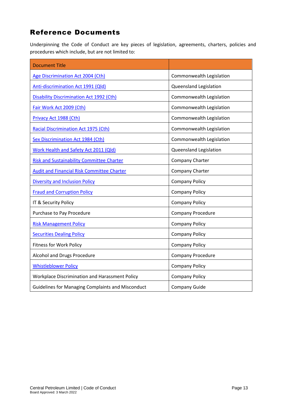## <span id="page-13-0"></span>Reference Documents

Underpinning the Code of Conduct are key pieces of legislation, agreements, charters, policies and procedures which include, but are not limited to:

| <b>Document Title</b>                                    |                          |  |
|----------------------------------------------------------|--------------------------|--|
| Age Discrimination Act 2004 (Cth)                        | Commonwealth Legislation |  |
| <b>Anti-discrimination Act 1991 (Qld)</b>                | Queensland Legislation   |  |
| <b>Disability Discrimination Act 1992 (Cth)</b>          | Commonwealth Legislation |  |
| Fair Work Act 2009 (Cth)                                 | Commonwealth Legislation |  |
| Privacy Act 1988 (Cth)                                   | Commonwealth Legislation |  |
| <b>Racial Discrimination Act 1975 (Cth)</b>              | Commonwealth Legislation |  |
| <b>Sex Discrimination Act 1984 (Cth)</b>                 | Commonwealth Legislation |  |
| Work Health and Safety Act 2011 (Qld)                    | Queensland Legislation   |  |
| <b>Risk and Sustainability Committee Charter</b>         | Company Charter          |  |
| <b>Audit and Financial Risk Committee Charter</b>        | Company Charter          |  |
| <b>Diversity and Inclusion Policy</b>                    | <b>Company Policy</b>    |  |
| <b>Fraud and Corruption Policy</b>                       | <b>Company Policy</b>    |  |
| IT & Security Policy                                     | <b>Company Policy</b>    |  |
| Purchase to Pay Procedure                                | <b>Company Procedure</b> |  |
| <b>Risk Management Policy</b>                            | <b>Company Policy</b>    |  |
| <b>Securities Dealing Policy</b>                         | <b>Company Policy</b>    |  |
| <b>Fitness for Work Policy</b>                           | <b>Company Policy</b>    |  |
| Alcohol and Drugs Procedure                              | Company Procedure        |  |
| <b>Whistleblower Policy</b>                              | <b>Company Policy</b>    |  |
| Workplace Discrimination and Harassment Policy           | <b>Company Policy</b>    |  |
| <b>Guidelines for Managing Complaints and Misconduct</b> | <b>Company Guide</b>     |  |